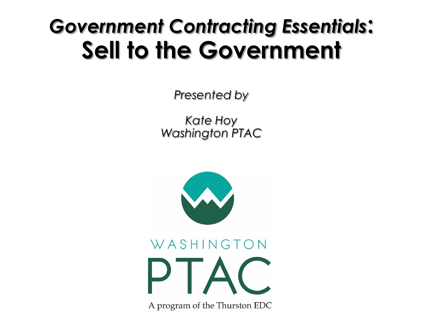## *Government Contracting Essentials***: Sell to the Government**

*Presented by*

*Kate Hoy Washington PTAC*



A program of the Thurston EDC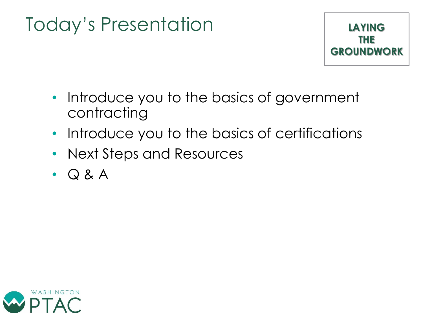## Today's Presentation



- Introduce you to the basics of government contracting
- Introduce you to the basics of certifications
- Next Steps and Resources
- Q & A

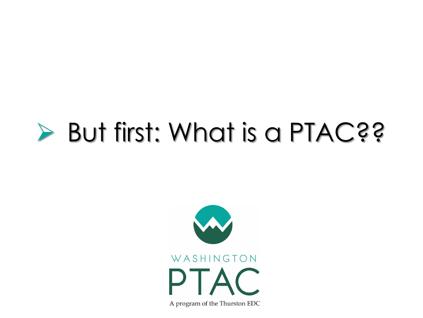# ➢ But first: What is a PTAC??

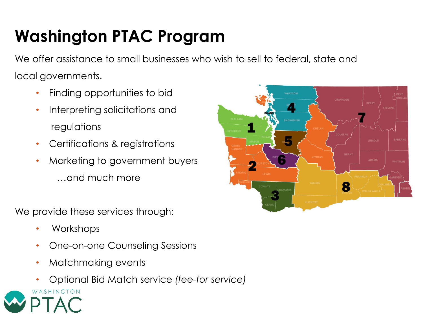## **Washington PTAC Program**

We offer assistance to small businesses who wish to sell to federal, state and local governments.

- Finding opportunities to bid
- Interpreting solicitations and regulations
- Certifications & registrations
- Marketing to government buyers …and much more

We provide these services through:

- Workshops
- One-on-one Counseling Sessions
- Matchmaking events
- Optional Bid Match service *(fee-for service)*



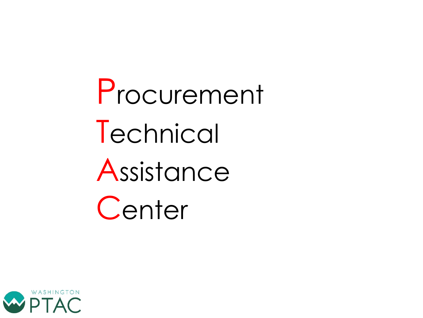Procurement Technical Assistance **Center** 

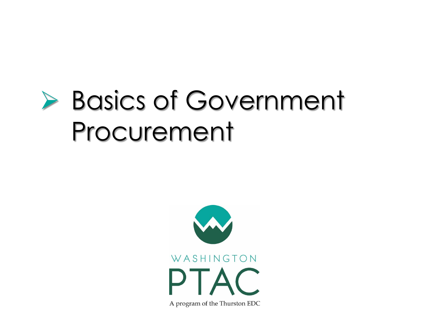# ➢ Basics of Government Procurement

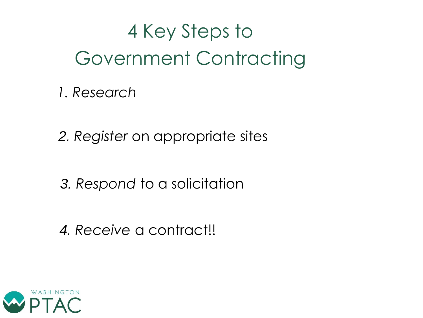## 4 Key Steps to Government Contracting

*1. Research*

*2. Register* on appropriate sites

*3. Respond* to a solicitation

*4. Receive* a contract!!

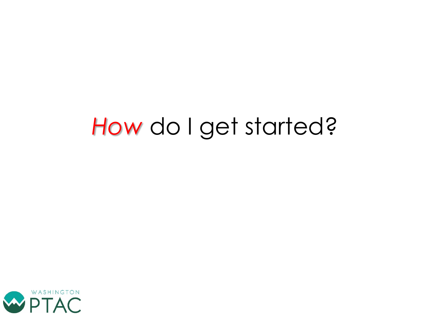## *How* do I get started?

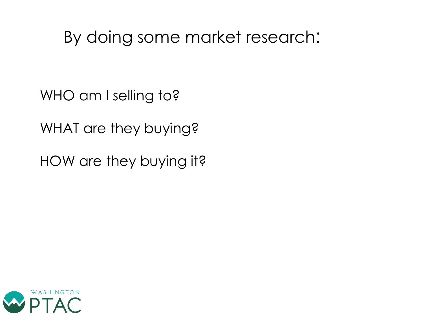### By doing some market research:

WHO am I selling to?

WHAT are they buying?

HOW are they buying it?

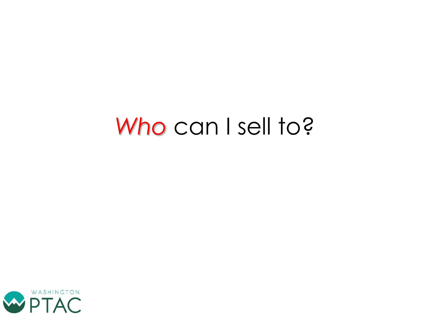## *Who* can I sell to?

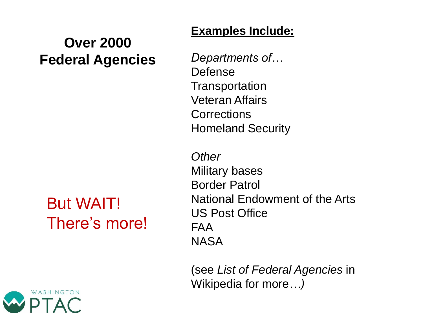#### **Over 2000 Federal Agencies**

### But WAIT! There's more!



#### **Examples Include:**

*Departments of…* Defense **Transportation** Veteran Affairs **Corrections** Homeland Security

*Other* Military bases Border Patrol National Endowment of the Arts US Post Office FAA NASA

(see *List of Federal Agencies* in Wikipedia for more*…)*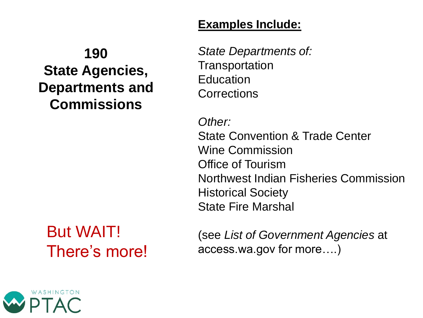#### **Examples Include:**

### **190 State Agencies, Departments and Commissions**

### But WAIT! There's more!

*State Departments of:*  **Transportation** Education **Corrections** 

*Other:* State Convention & Trade Center Wine Commission Office of Tourism Northwest Indian Fisheries Commission Historical Society State Fire Marshal

(see *List of Government Agencies* at access.wa.gov for more….)

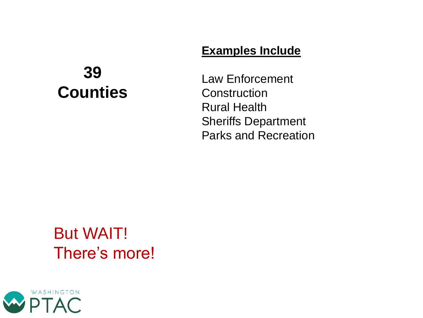#### **Examples Include**

### **39 Counties**

Law Enforcement **Construction** Rural Health Sheriffs Department Parks and Recreation

### But WAIT! There's more!

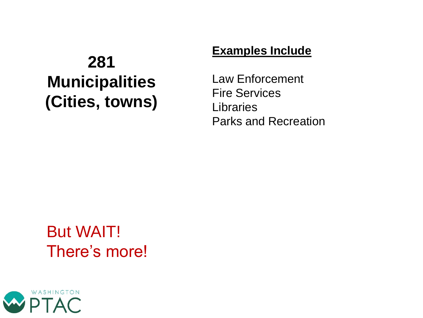### **281 Municipalities (Cities, towns)**

#### **Examples Include**

Law Enforcement Fire Services **Libraries** Parks and Recreation

### But WAIT! There's more!

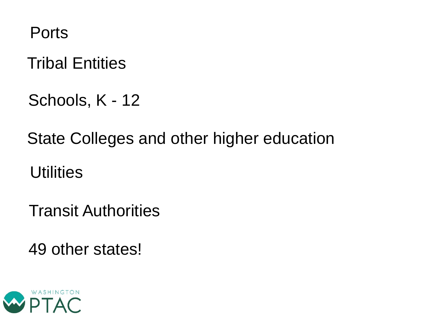Ports

Tribal Entities

Schools, K - 12

State Colleges and other higher education

**Utilities** 

Transit Authorities

49 other states!

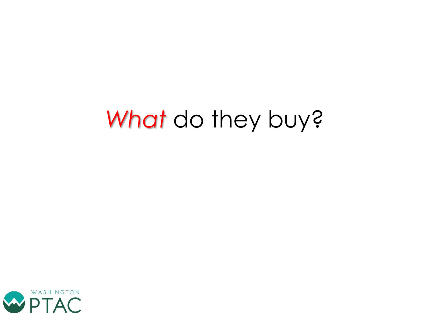# *What* do they buy?

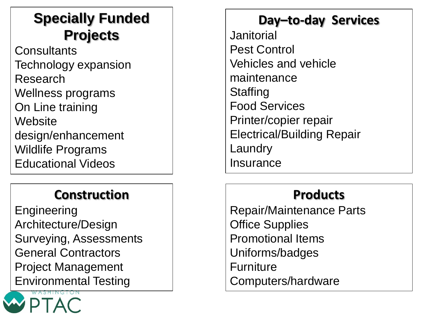### **Specially Funded Projects**

**Consultants** Technology expansion Research Wellness programs On Line training **Website** design/enhancement Wildlife Programs Educational Videos

#### **Construction**

**Engineering** Architecture/Design Surveying, Assessments General Contractors Project Management Environmental Testing



### **Day–to-day Services**

Janitorial Pest Control Vehicles and vehicle maintenance **Staffing** Food Services Printer/copier repair Electrical/Building Repair **Laundry Insurance** 

#### **Products**

Repair/Maintenance Parts Office Supplies Promotional Items Uniforms/badges **Furniture** Computers/hardware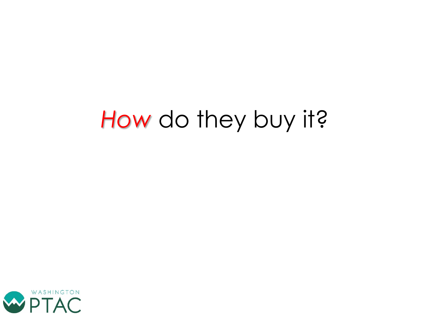# *How* do they buy it?

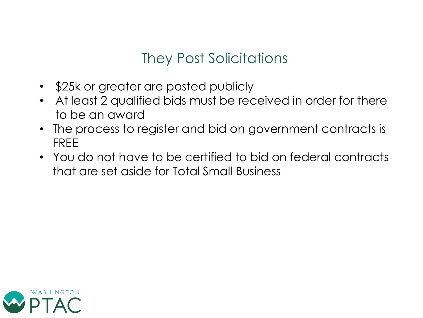### They Post Solicitations

- \$25k or greater are posted publicly
- At least 2 qualified bids must be received in order for there to be an award
- The process to register and bid on government contracts is FREE
- You do not have to be certified to bid on federal contracts that are set aside for Total Small Business

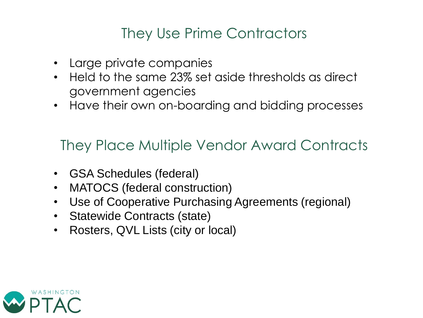### They Use Prime Contractors

- Large private companies
- Held to the same 23% set aside thresholds as direct government agencies
- Have their own on-boarding and bidding processes

They Place Multiple Vendor Award Contracts

- GSA Schedules (federal)
- MATOCS (federal construction)
- Use of Cooperative Purchasing Agreements (regional)
- Statewide Contracts (state)
- Rosters, QVL Lists (city or local)

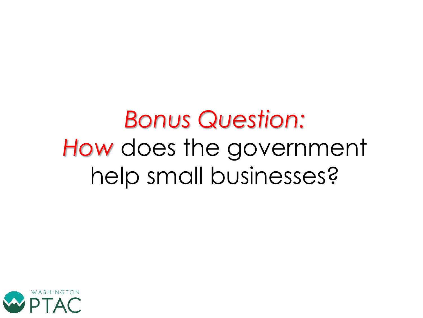# *Bonus Question: How* does the government help small businesses?

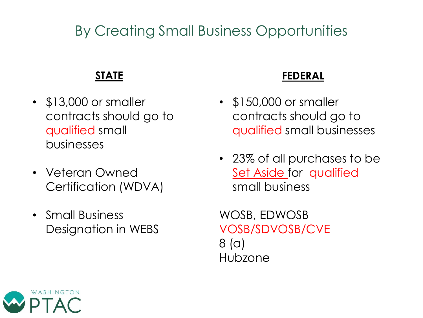### By Creating Small Business Opportunities

#### **STATE**

- \$13,000 or smaller contracts should go to qualified small businesses
- Veteran Owned Certification (WDVA)
- Small Business Designation in WEBS

#### **FEDERAL**

- \$150,000 or smaller contracts should go to qualified small businesses
- 23% of all purchases to be Set Aside for qualified small business

WOSB, EDWOSB VOSB/SDVOSB/CVE 8 (a) Hubzone

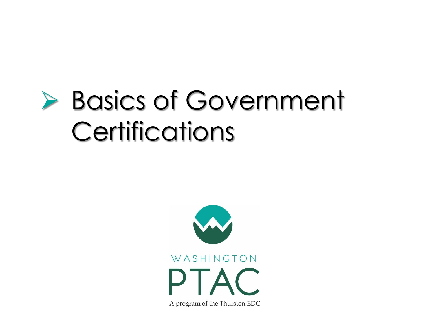# ➢ Basics of Government **Certifications**

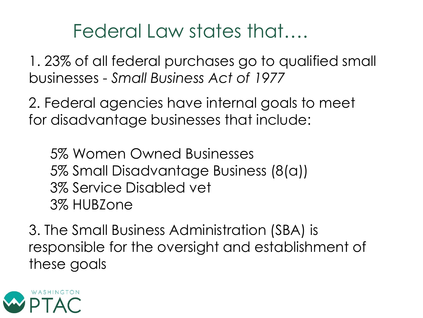## Federal Law states that….

1. 23% of all federal purchases go to qualified small businesses - *Small Business Act of 1977*

2. Federal agencies have internal goals to meet for disadvantage businesses that include:

5% Women Owned Businesses 5% Small Disadvantage Business (8(a)) 3% Service Disabled vet 3% HUBZone

3. The Small Business Administration (SBA) is responsible for the oversight and establishment of these goals

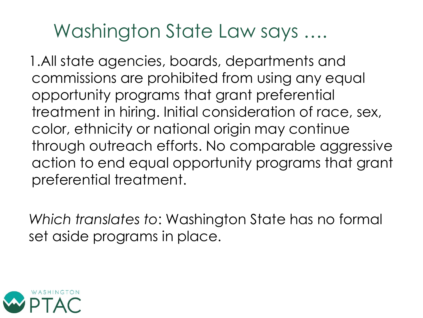## Washington State Law says ….

1.All state agencies, boards, departments and commissions are prohibited from using any equal opportunity programs that grant preferential treatment in hiring. Initial consideration of race, sex, color, ethnicity or national origin may continue through outreach efforts. No comparable aggressive action to end equal opportunity programs that grant preferential treatment.

*Which translates to*: Washington State has no formal set aside programs in place.

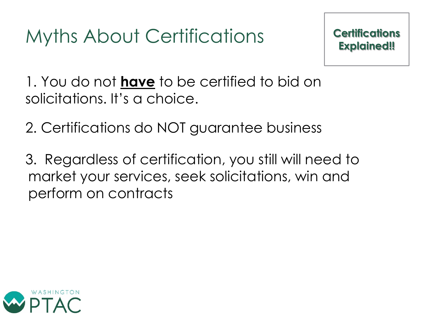## Myths About Certifications

1. You do not **have** to be certified to bid on solicitations. It's a choice.

2. Certifications do NOT guarantee business

3. Regardless of certification, you still will need to market your services, seek solicitations, win and perform on contracts

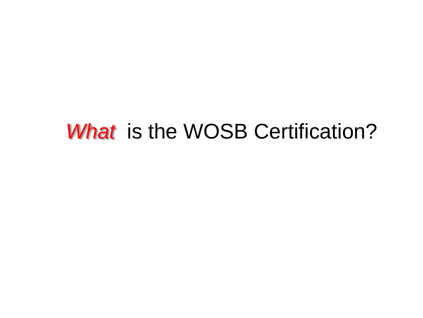## *What* is the WOSB Certification?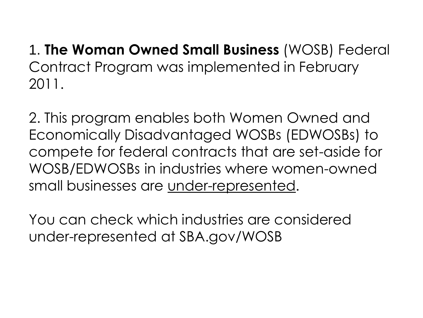1. **The Woman Owned Small Business** (WOSB) Federal Contract Program was implemented in February 2011.

2. This program enables both Women Owned and Economically Disadvantaged WOSBs (EDWOSBs) to compete for federal contracts that are set-aside for WOSB/EDWOSBs in industries where women-owned small businesses are under-represented.

You can check which industries are considered under-represented at SBA.gov/WOSB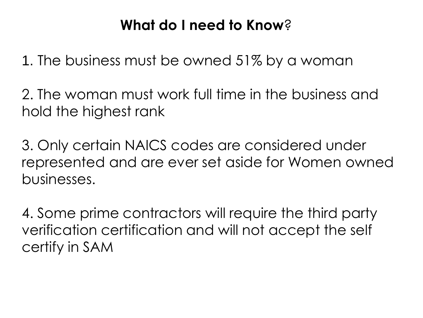### **What do I need to Know**?

1. The business must be owned 51% by a woman

2. The woman must work full time in the business and hold the highest rank

3. Only certain NAICS codes are considered under represented and are ever set aside for Women owned businesses.

4. Some prime contractors will require the third party verification certification and will not accept the self certify in SAM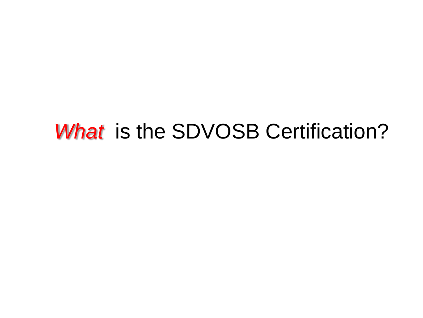## What is the SDVOSB Certification?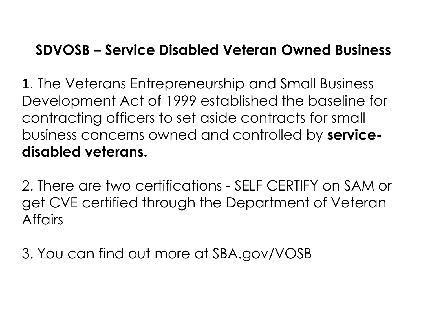### **SDVOSB – Service Disabled Veteran Owned Business**

1. The Veterans Entrepreneurship and Small Business Development Act of 1999 established the baseline for contracting officers to set aside contracts for small business concerns owned and controlled by **servicedisabled veterans.** 

2. There are two certifications - SELF CERTIFY on SAM or get CVE certified through the Department of Veteran **Affairs** 

3. You can find out more at SBA.gov/VOSB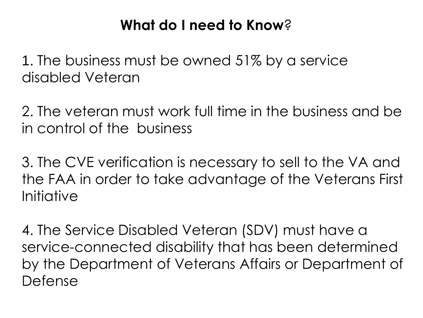### **What do I need to Know**?

1. The business must be owned 51% by a service disabled Veteran

2. The veteran must work full time in the business and be in control of the business

3. The CVE verification is necessary to sell to the VA and the FAA in order to take advantage of the Veterans First Initiative

4. The Service Disabled Veteran (SDV) must have a service-connected disability that has been determined by the Department of Veterans Affairs or Department of Defense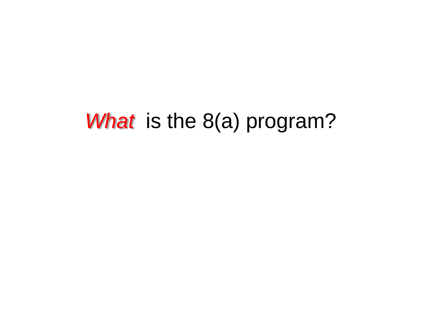## *What* is the 8(a) program?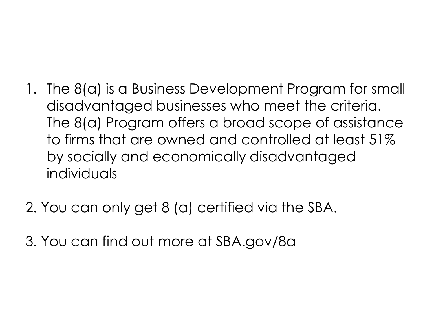- 1. The 8(a) is a Business Development Program for small disadvantaged businesses who meet the criteria. The 8(a) Program offers a broad scope of assistance to firms that are owned and controlled at least 51% by socially and economically disadvantaged individuals
- 2. You can only get 8 (a) certified via the SBA.
- 3. You can find out more at SBA.gov/8a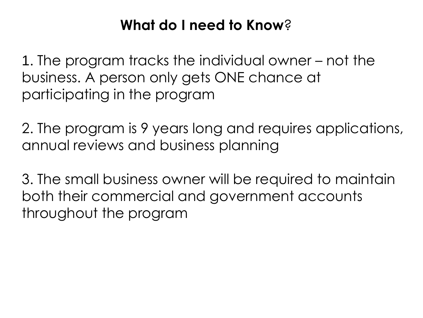### **What do I need to Know**?

1. The program tracks the individual owner – not the business. A person only gets ONE chance at participating in the program

2. The program is 9 years long and requires applications, annual reviews and business planning

3. The small business owner will be required to maintain both their commercial and government accounts throughout the program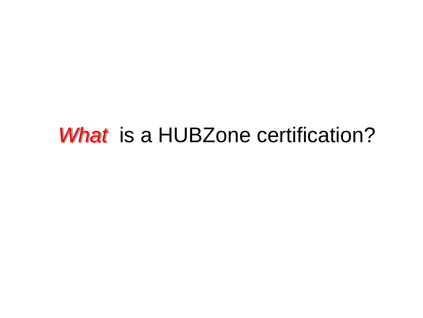## *What* is a HUBZone certification?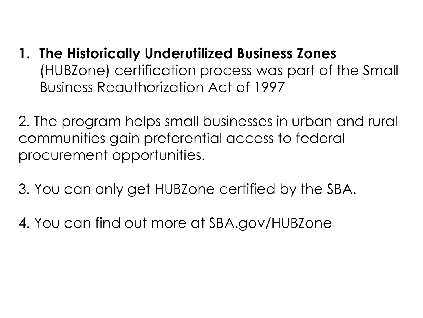- **1. The Historically Underutilized Business Zones**  (HUBZone) certification process was part of the Small Business Reauthorization Act of 1997
- 2. The program helps small businesses in urban and rural communities gain preferential access to federal procurement opportunities.
- 3. You can only get HUBZone certified by the SBA.
- 4. You can find out more at SBA.gov/HUBZone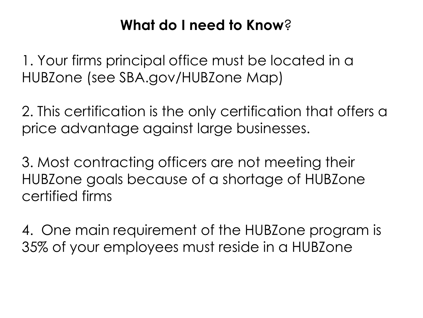### **What do I need to Know**?

1. Your firms principal office must be located in a HUBZone (see SBA.gov/HUBZone Map)

2. This certification is the only certification that offers a price advantage against large businesses.

3. Most contracting officers are not meeting their HUBZone goals because of a shortage of HUBZone certified firms

4. One main requirement of the HUBZone program is 35% of your employees must reside in a HUBZone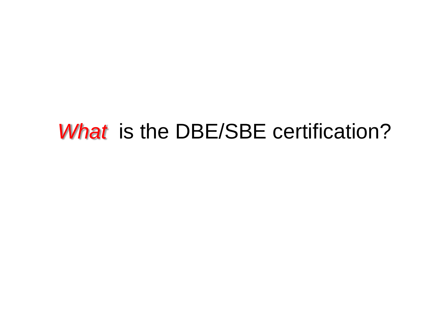## What is the DBE/SBE certification?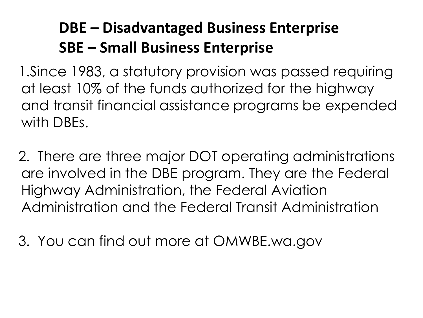### **DBE – Disadvantaged Business Enterprise SBE – Small Business Enterprise**

1.Since 1983, a statutory provision was passed requiring at least 10% of the funds authorized for the highway and transit financial assistance programs be expended with DBEs.

2. There are three major DOT operating administrations are involved in the DBE program. They are the Federal Highway Administration, the Federal Aviation Administration and the Federal Transit Administration

3. You can find out more at OMWBE.wa.gov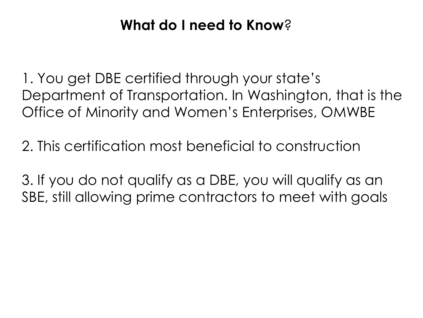### **What do I need to Know**?

1. You get DBE certified through your state's Department of Transportation. In Washington, that is the Office of Minority and Women's Enterprises, OMWBE

2. This certification most beneficial to construction

3. If you do not qualify as a DBE, you will qualify as an SBE, still allowing prime contractors to meet with goals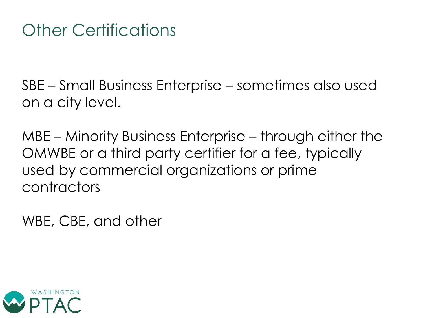SBE – Small Business Enterprise – sometimes also used on a city level.

MBE – Minority Business Enterprise – through either the OMWBE or a third party certifier for a fee, typically used by commercial organizations or prime contractors

WBE, CBE, and other

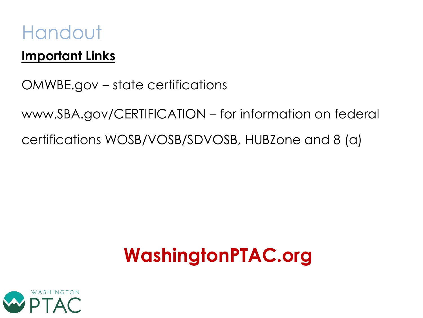### Handout

#### **Important Links**

OMWBE.gov – state certifications

www.SBA.gov/CERTIFICATION – for information on federal certifications WOSB/VOSB/SDVOSB, HUBZone and 8 (a)

## **WashingtonPTAC.org**

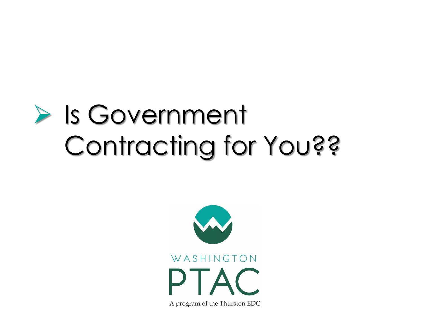# ➢ Is Government Contracting for You??

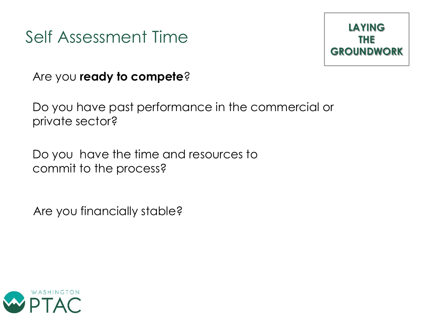### Self Assessment Time



Are you **ready to compete**?

Do you have past performance in the commercial or private sector?

Do you have the time and resources to commit to the process?

Are you financially stable?

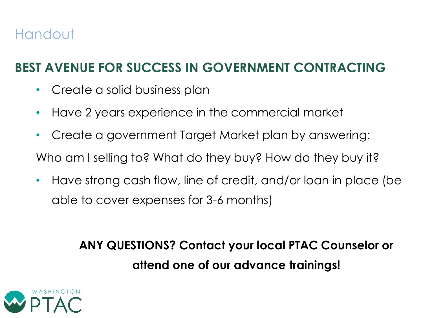### Handout

#### **BEST AVENUE FOR SUCCESS IN GOVERNMENT CONTRACTING**

- Create a solid business plan
- Have 2 years experience in the commercial market
- Create a government Target Market plan by answering: Who am I selling to? What do they buy? How do they buy it?
- Have strong cash flow, line of credit, and/or loan in place (be able to cover expenses for 3-6 months)

**ANY QUESTIONS? Contact your local PTAC Counselor or attend one of our advance trainings!**

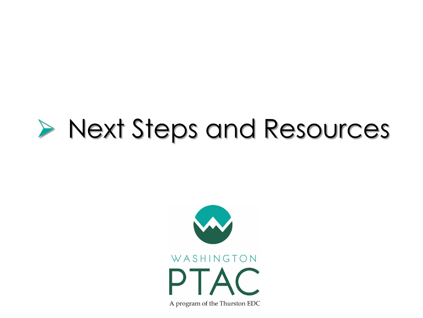# ➢ Next Steps and Resources

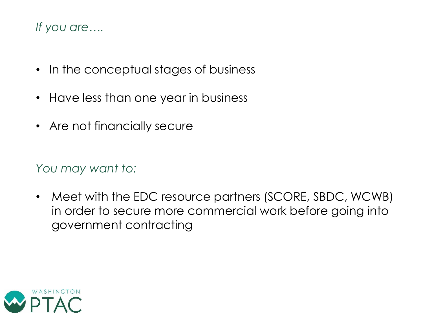#### *If you are….*

- In the conceptual stages of business
- Have less than one year in business
- Are not financially secure

*You may want to:*

• Meet with the EDC resource partners (SCORE, SBDC, WCWB) in order to secure more commercial work before going into government contracting

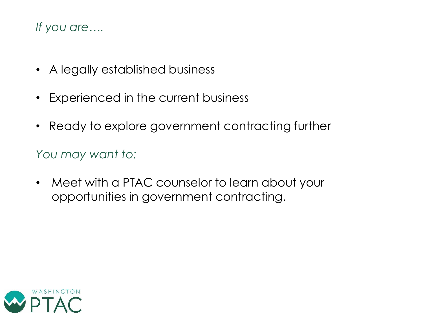#### *If you are….*

- A legally established business
- Experienced in the current business
- Ready to explore government contracting further

*You may want to:*

• Meet with a PTAC counselor to learn about your opportunities in government contracting.

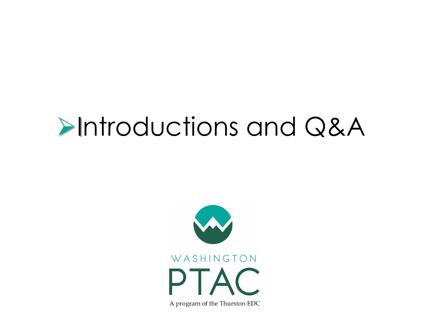# ➢Introductions and Q&A

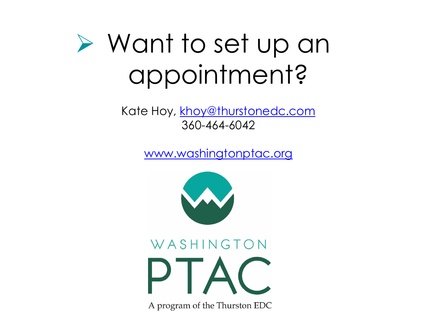# ➢ Want to set up an appointment?

Kate Hoy, [khoy@thurstonedc.com](mailto:khoy@thurstonedc.com) 360-464-6042

[www.washingtonptac.org](http://www.washingtonptac.org/)



# WASHINGTON DTA

A program of the Thurston EDC